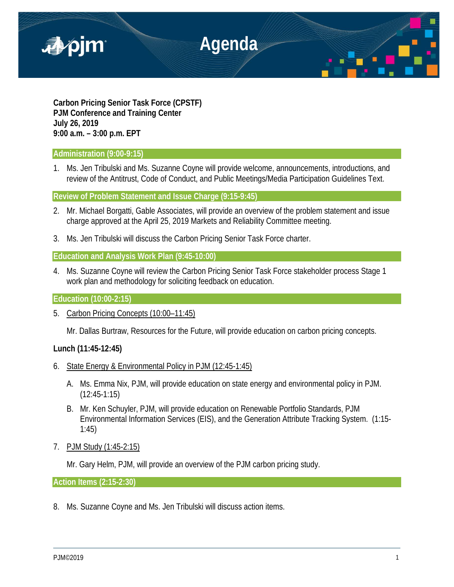

**Carbon Pricing Senior Task Force (CPSTF) PJM Conference and Training Center July 26, 2019 9:00 a.m. – 3:00 p.m. EPT**

# **Administration (9:00-9:15)**

1. Ms. Jen Tribulski and Ms. Suzanne Coyne will provide welcome, announcements, introductions, and review of the Antitrust, Code of Conduct, and Public Meetings/Media Participation Guidelines Text.

**Review of Problem Statement and Issue Charge (9:15-9:45)**

- 2. Mr. Michael Borgatti, Gable Associates, will provide an overview of the problem statement and issue charge approved at the April 25, 2019 Markets and Reliability Committee meeting.
- 3. Ms. Jen Tribulski will discuss the Carbon Pricing Senior Task Force charter.

## **Education and Analysis Work Plan (9:45-10:00)**

4. Ms. Suzanne Coyne will review the Carbon Pricing Senior Task Force stakeholder process Stage 1 work plan and methodology for soliciting feedback on education.

## **Education (10:00-2:15)**

5. Carbon Pricing Concepts (10:00–11:45)

Mr. Dallas Burtraw, Resources for the Future, will provide education on carbon pricing concepts.

# **Lunch (11:45-12:45)**

- 6. State Energy & Environmental Policy in PJM (12:45-1:45)
	- A. Ms. Emma Nix, PJM, will provide education on state energy and environmental policy in PJM. (12:45-1:15)
	- B. Mr. Ken Schuyler, PJM, will provide education on Renewable Portfolio Standards, PJM Environmental Information Services (EIS), and the Generation Attribute Tracking System. (1:15- 1:45)
- 7. PJM Study (1:45-2:15)
	- Mr. Gary Helm, PJM, will provide an overview of the PJM carbon pricing study.

**Action Items (2:15-2:30)**

8. Ms. Suzanne Coyne and Ms. Jen Tribulski will discuss action items.